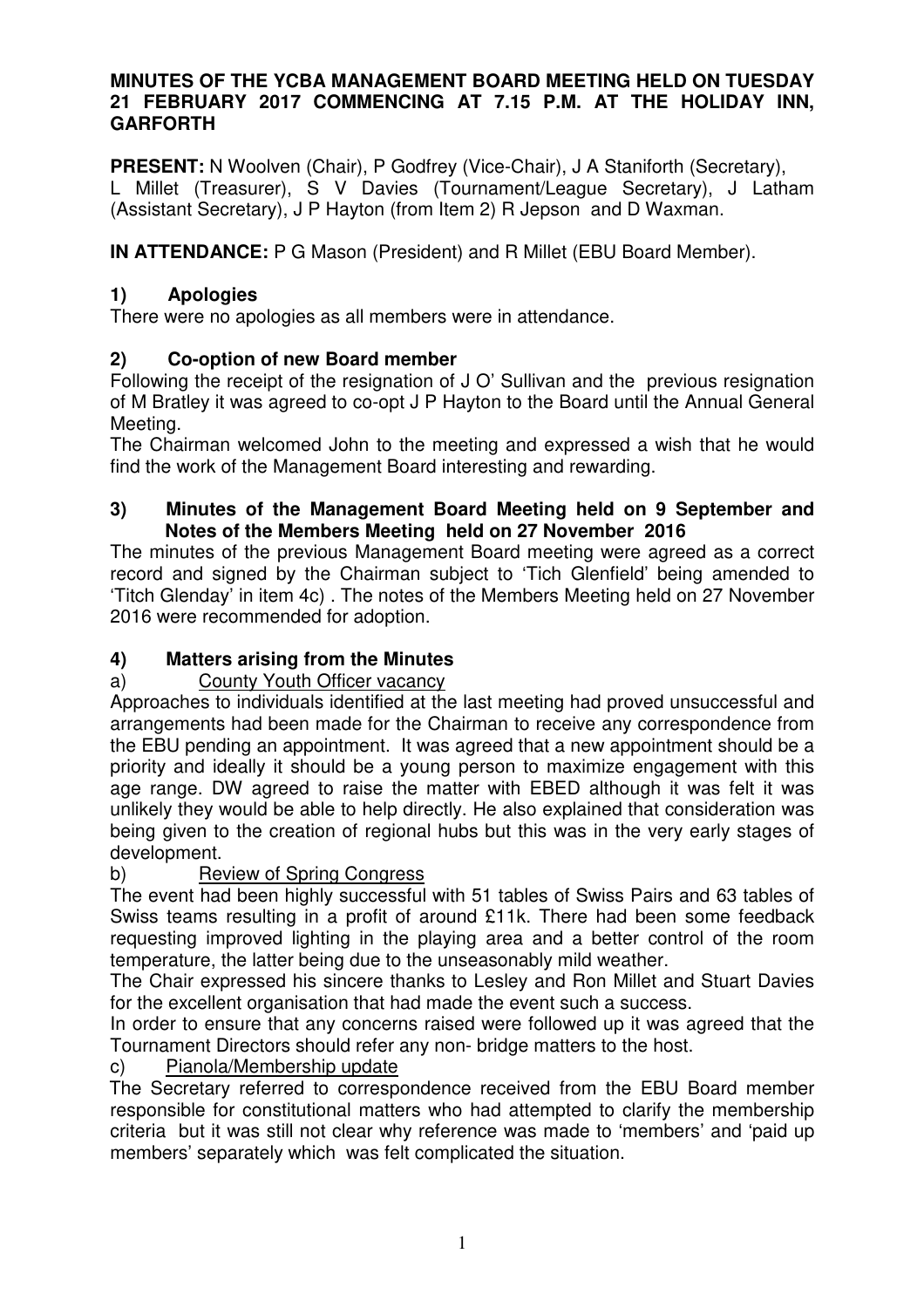#### **MINUTES OF THE YCBA MANAGEMENT BOARD MEETING HELD ON TUESDAY 21 FEBRUARY 2017 COMMENCING AT 7.15 P.M. AT THE HOLIDAY INN, GARFORTH**

**PRESENT:** N Woolven (Chair), P Godfrey (Vice-Chair), J A Staniforth (Secretary), L Millet (Treasurer), S V Davies (Tournament/League Secretary), J Latham (Assistant Secretary), J P Hayton (from Item 2) R Jepson and D Waxman.

**IN ATTENDANCE:** P G Mason (President) and R Millet (EBU Board Member).

# **1) Apologies**

There were no apologies as all members were in attendance.

# **2) Co-option of new Board member**

Following the receipt of the resignation of J O' Sullivan and the previous resignation of M Bratley it was agreed to co-opt J P Hayton to the Board until the Annual General Meeting.

The Chairman welcomed John to the meeting and expressed a wish that he would find the work of the Management Board interesting and rewarding.

#### **3) Minutes of the Management Board Meeting held on 9 September and Notes of the Members Meeting held on 27 November 2016**

The minutes of the previous Management Board meeting were agreed as a correct record and signed by the Chairman subject to 'Tich Glenfield' being amended to 'Titch Glenday' in item 4c) . The notes of the Members Meeting held on 27 November 2016 were recommended for adoption.

# **4) Matters arising from the Minutes**

# a) County Youth Officer vacancy

Approaches to individuals identified at the last meeting had proved unsuccessful and arrangements had been made for the Chairman to receive any correspondence from the EBU pending an appointment. It was agreed that a new appointment should be a priority and ideally it should be a young person to maximize engagement with this age range. DW agreed to raise the matter with EBED although it was felt it was unlikely they would be able to help directly. He also explained that consideration was being given to the creation of regional hubs but this was in the very early stages of development.

# b) Review of Spring Congress

The event had been highly successful with 51 tables of Swiss Pairs and 63 tables of Swiss teams resulting in a profit of around £11k. There had been some feedback requesting improved lighting in the playing area and a better control of the room temperature, the latter being due to the unseasonably mild weather.

The Chair expressed his sincere thanks to Lesley and Ron Millet and Stuart Davies for the excellent organisation that had made the event such a success.

In order to ensure that any concerns raised were followed up it was agreed that the Tournament Directors should refer any non- bridge matters to the host.

# c) Pianola/Membership update

 The Secretary referred to correspondence received from the EBU Board member responsible for constitutional matters who had attempted to clarify the membership criteria but it was still not clear why reference was made to 'members' and 'paid up members' separately which was felt complicated the situation.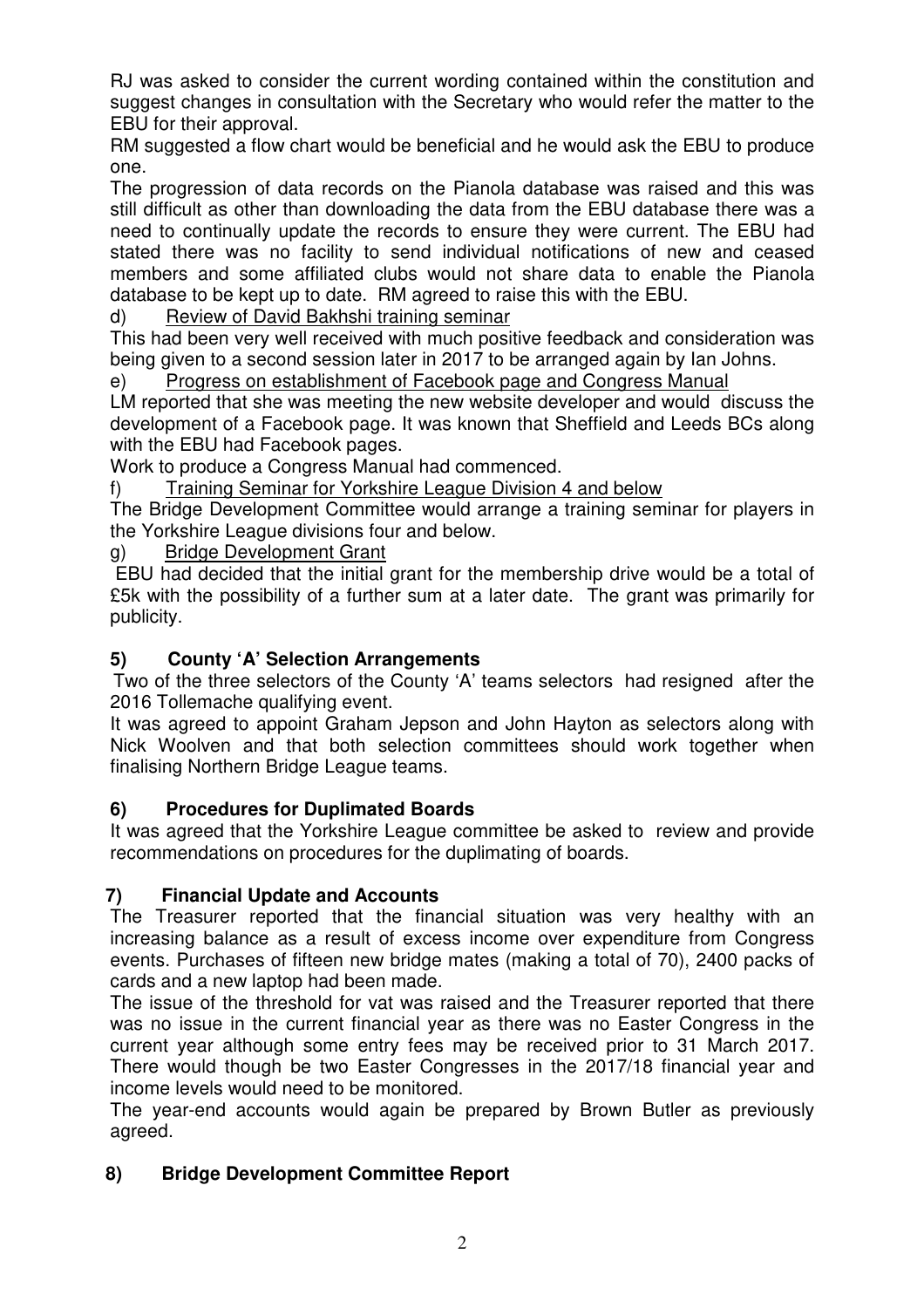RJ was asked to consider the current wording contained within the constitution and suggest changes in consultation with the Secretary who would refer the matter to the EBU for their approval.

RM suggested a flow chart would be beneficial and he would ask the EBU to produce one.

The progression of data records on the Pianola database was raised and this was still difficult as other than downloading the data from the EBU database there was a need to continually update the records to ensure they were current. The EBU had stated there was no facility to send individual notifications of new and ceased members and some affiliated clubs would not share data to enable the Pianola database to be kept up to date. RM agreed to raise this with the EBU.

d) Review of David Bakhshi training seminar

This had been very well received with much positive feedback and consideration was being given to a second session later in 2017 to be arranged again by Ian Johns.

e) Progress on establishment of Facebook page and Congress Manual

LM reported that she was meeting the new website developer and would discuss the development of a Facebook page. It was known that Sheffield and Leeds BCs along with the EBU had Facebook pages.

Work to produce a Congress Manual had commenced.

f) Training Seminar for Yorkshire League Division 4 and below

The Bridge Development Committee would arrange a training seminar for players in the Yorkshire League divisions four and below.

g) Bridge Development Grant

 EBU had decided that the initial grant for the membership drive would be a total of £5k with the possibility of a further sum at a later date. The grant was primarily for publicity.

# **5) County 'A' Selection Arrangements**

 Two of the three selectors of the County 'A' teams selectors had resigned after the 2016 Tollemache qualifying event.

It was agreed to appoint Graham Jepson and John Hayton as selectors along with Nick Woolven and that both selection committees should work together when finalising Northern Bridge League teams.

### **6) Procedures for Duplimated Boards**

It was agreed that the Yorkshire League committee be asked to review and provide recommendations on procedures for the duplimating of boards.

### **7) Financial Update and Accounts**

The Treasurer reported that the financial situation was very healthy with an increasing balance as a result of excess income over expenditure from Congress events. Purchases of fifteen new bridge mates (making a total of 70), 2400 packs of cards and a new laptop had been made.

The issue of the threshold for vat was raised and the Treasurer reported that there was no issue in the current financial year as there was no Easter Congress in the current year although some entry fees may be received prior to 31 March 2017. There would though be two Easter Congresses in the 2017/18 financial year and income levels would need to be monitored.

The year-end accounts would again be prepared by Brown Butler as previously agreed.

# **8) Bridge Development Committee Report**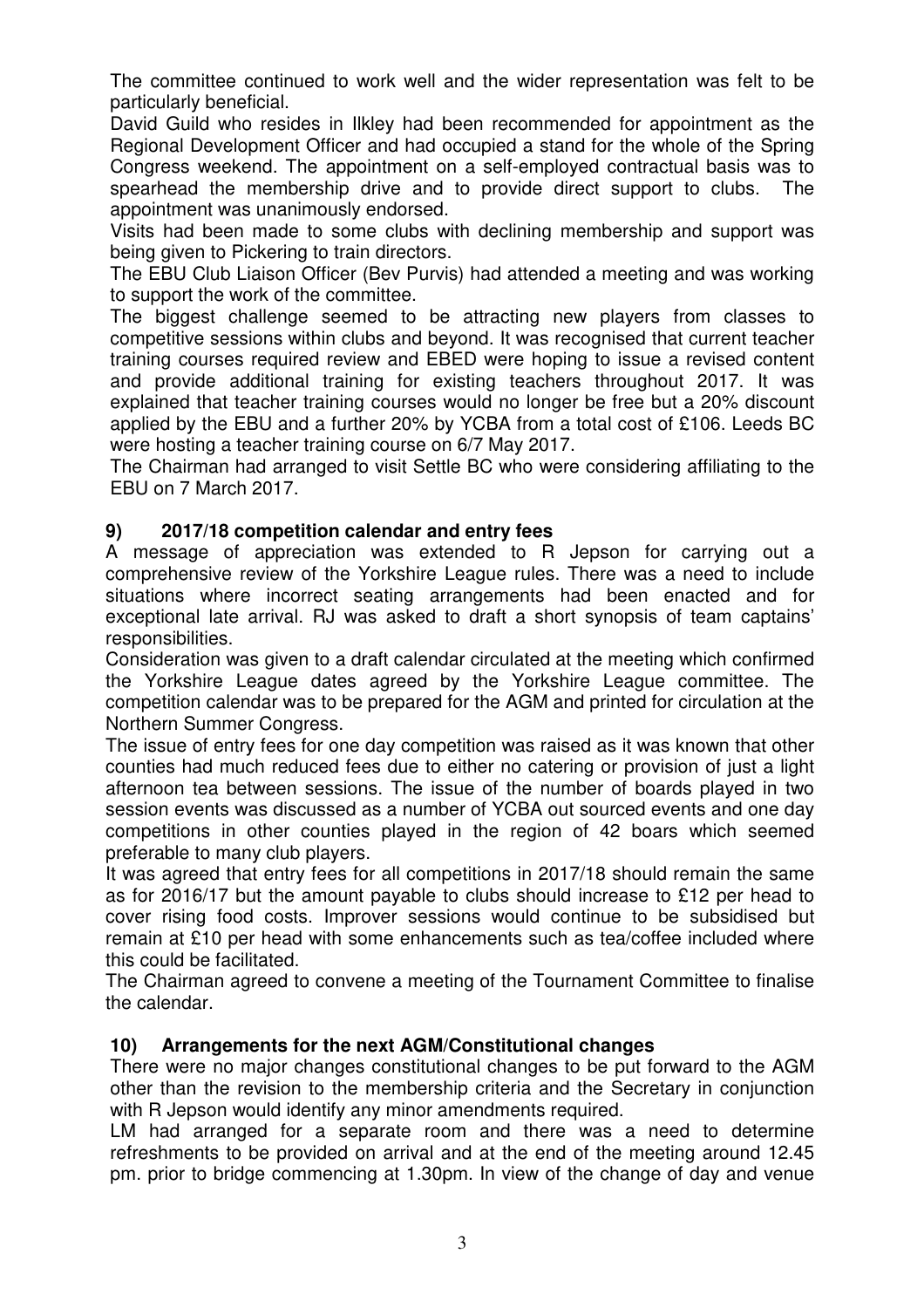The committee continued to work well and the wider representation was felt to be particularly beneficial.

David Guild who resides in Ilkley had been recommended for appointment as the Regional Development Officer and had occupied a stand for the whole of the Spring Congress weekend. The appointment on a self-employed contractual basis was to spearhead the membership drive and to provide direct support to clubs. The appointment was unanimously endorsed.

Visits had been made to some clubs with declining membership and support was being given to Pickering to train directors.

The EBU Club Liaison Officer (Bev Purvis) had attended a meeting and was working to support the work of the committee.

The biggest challenge seemed to be attracting new players from classes to competitive sessions within clubs and beyond. It was recognised that current teacher training courses required review and EBED were hoping to issue a revised content and provide additional training for existing teachers throughout 2017. It was explained that teacher training courses would no longer be free but a 20% discount applied by the EBU and a further 20% by YCBA from a total cost of £106. Leeds BC were hosting a teacher training course on 6/7 May 2017.

The Chairman had arranged to visit Settle BC who were considering affiliating to the EBU on 7 March 2017.

### **9) 2017/18 competition calendar and entry fees**

A message of appreciation was extended to R Jepson for carrying out a comprehensive review of the Yorkshire League rules. There was a need to include situations where incorrect seating arrangements had been enacted and for exceptional late arrival. RJ was asked to draft a short synopsis of team captains' responsibilities.

Consideration was given to a draft calendar circulated at the meeting which confirmed the Yorkshire League dates agreed by the Yorkshire League committee. The competition calendar was to be prepared for the AGM and printed for circulation at the Northern Summer Congress.

The issue of entry fees for one day competition was raised as it was known that other counties had much reduced fees due to either no catering or provision of just a light afternoon tea between sessions. The issue of the number of boards played in two session events was discussed as a number of YCBA out sourced events and one day competitions in other counties played in the region of 42 boars which seemed preferable to many club players.

It was agreed that entry fees for all competitions in 2017/18 should remain the same as for 2016/17 but the amount payable to clubs should increase to £12 per head to cover rising food costs. Improver sessions would continue to be subsidised but remain at £10 per head with some enhancements such as tea/coffee included where this could be facilitated.

The Chairman agreed to convene a meeting of the Tournament Committee to finalise the calendar.

### **10) Arrangements for the next AGM/Constitutional changes**

There were no major changes constitutional changes to be put forward to the AGM other than the revision to the membership criteria and the Secretary in conjunction with R Jepson would identify any minor amendments required.

LM had arranged for a separate room and there was a need to determine refreshments to be provided on arrival and at the end of the meeting around 12.45 pm. prior to bridge commencing at 1.30pm. In view of the change of day and venue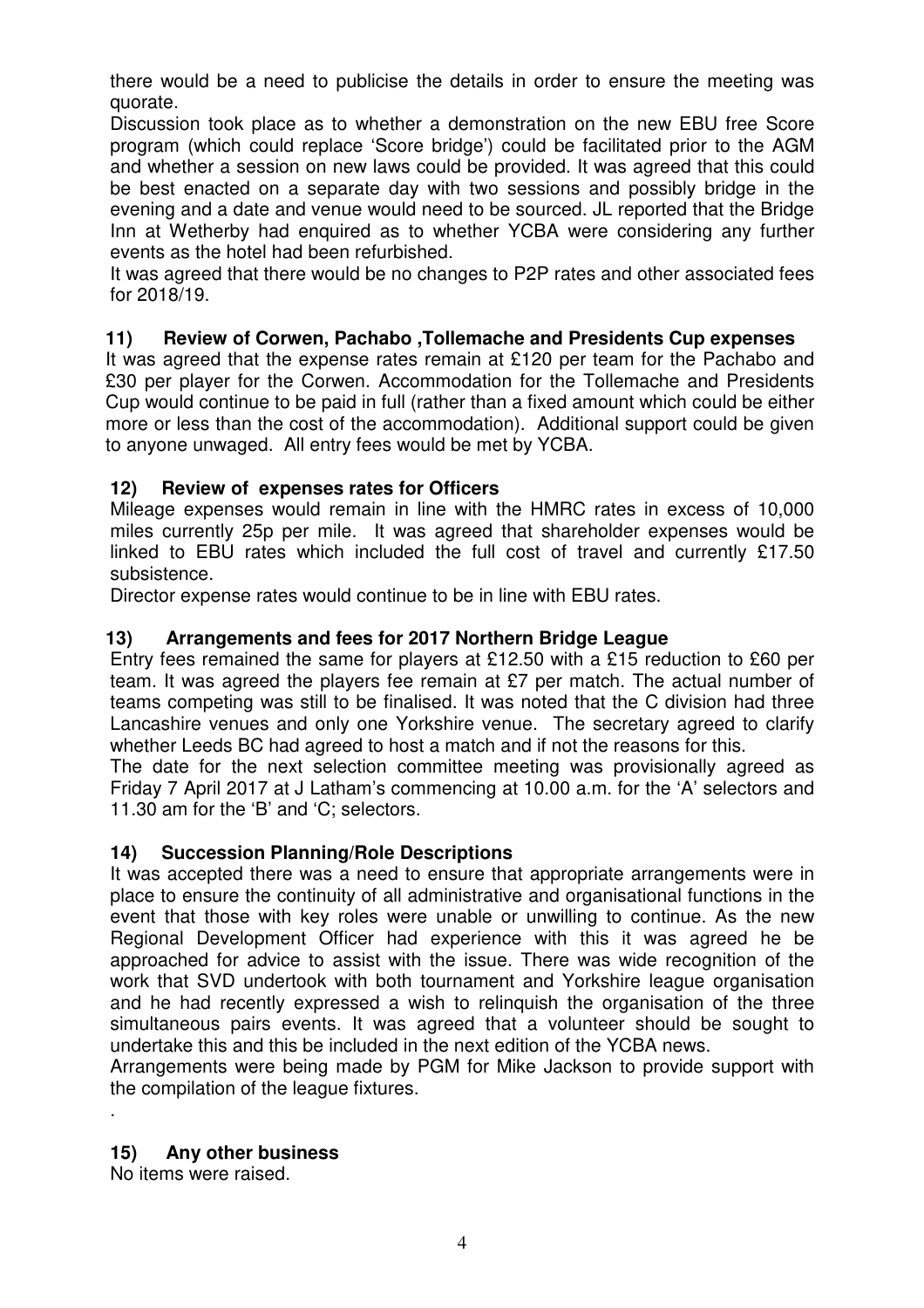there would be a need to publicise the details in order to ensure the meeting was quorate.

Discussion took place as to whether a demonstration on the new EBU free Score program (which could replace 'Score bridge') could be facilitated prior to the AGM and whether a session on new laws could be provided. It was agreed that this could be best enacted on a separate day with two sessions and possibly bridge in the evening and a date and venue would need to be sourced. JL reported that the Bridge Inn at Wetherby had enquired as to whether YCBA were considering any further events as the hotel had been refurbished.

It was agreed that there would be no changes to P2P rates and other associated fees for 2018/19.

### **11) Review of Corwen, Pachabo ,Tollemache and Presidents Cup expenses**

It was agreed that the expense rates remain at £120 per team for the Pachabo and £30 per player for the Corwen. Accommodation for the Tollemache and Presidents Cup would continue to be paid in full (rather than a fixed amount which could be either more or less than the cost of the accommodation). Additional support could be given to anyone unwaged. All entry fees would be met by YCBA.

### **12) Review of expenses rates for Officers**

Mileage expenses would remain in line with the HMRC rates in excess of 10,000 miles currently 25p per mile. It was agreed that shareholder expenses would be linked to EBU rates which included the full cost of travel and currently £17.50 subsistence.

Director expense rates would continue to be in line with EBU rates.

### **13) Arrangements and fees for 2017 Northern Bridge League**

Entry fees remained the same for players at £12.50 with a £15 reduction to £60 per team. It was agreed the players fee remain at £7 per match. The actual number of teams competing was still to be finalised. It was noted that the C division had three Lancashire venues and only one Yorkshire venue. The secretary agreed to clarify whether Leeds BC had agreed to host a match and if not the reasons for this.

The date for the next selection committee meeting was provisionally agreed as Friday 7 April 2017 at J Latham's commencing at 10.00 a.m. for the 'A' selectors and 11.30 am for the 'B' and 'C; selectors.

### **14) Succession Planning/Role Descriptions**

It was accepted there was a need to ensure that appropriate arrangements were in place to ensure the continuity of all administrative and organisational functions in the event that those with key roles were unable or unwilling to continue. As the new Regional Development Officer had experience with this it was agreed he be approached for advice to assist with the issue. There was wide recognition of the work that SVD undertook with both tournament and Yorkshire league organisation and he had recently expressed a wish to relinquish the organisation of the three simultaneous pairs events. It was agreed that a volunteer should be sought to undertake this and this be included in the next edition of the YCBA news.

Arrangements were being made by PGM for Mike Jackson to provide support with the compilation of the league fixtures.

### **15) Any other business**

No items were raised.

.